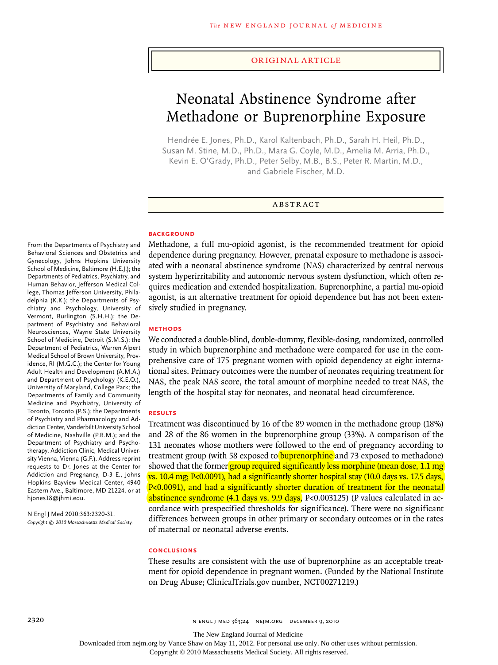### original article

# Neonatal Abstinence Syndrome after Methadone or Buprenorphine Exposure

Hendrée E. Jones, Ph.D., Karol Kaltenbach, Ph.D., Sarah H. Heil, Ph.D., Susan M. Stine, M.D., Ph.D., Mara G. Coyle, M.D., Amelia M. Arria, Ph.D., Kevin E. O'Grady, Ph.D., Peter Selby, M.B., B.S., Peter R. Martin, M.D., and Gabriele Fischer, M.D.

## **ABSTRACT**

## **BACKGROUND**

Methadone, a full mu-opioid agonist, is the recommended treatment for opioid dependence during pregnancy. However, prenatal exposure to methadone is associated with a neonatal abstinence syndrome (NAS) characterized by central nervous system hyperirritability and autonomic nervous system dysfunction, which often requires medication and extended hospitalization. Buprenorphine, a partial mu-opioid agonist, is an alternative treatment for opioid dependence but has not been extensively studied in pregnancy.

#### **METHODS**

We conducted a double-blind, double-dummy, flexible-dosing, randomized, controlled study in which buprenorphine and methadone were compared for use in the comprehensive care of 175 pregnant women with opioid dependency at eight international sites. Primary outcomes were the number of neonates requiring treatment for NAS, the peak NAS score, the total amount of morphine needed to treat NAS, the length of the hospital stay for neonates, and neonatal head circumference.

### **RESULTS**

Treatment was discontinued by 16 of the 89 women in the methadone group (18%) and 28 of the 86 women in the buprenorphine group (33%). A comparison of the 131 neonates whose mothers were followed to the end of pregnancy according to treatment group (with 58 exposed to **buprenorphine** and 73 exposed to methadone) showed that the former group required significantly less morphine (mean dose, 1.1 mg) vs. 10.4 mg; P<0.0091), had a significantly shorter hospital stay (10.0 days vs. 17.5 days, P<0.0091), and had a significantly shorter duration of treatment for the neonatal abstinence syndrome (4.1 days vs. 9.9 days, P<0.003125) (P values calculated in accordance with prespecified thresholds for significance). There were no significant differences between groups in other primary or secondary outcomes or in the rates of maternal or neonatal adverse events.

## **CONCLUSIONS**

These results are consistent with the use of buprenorphine as an acceptable treatment for opioid dependence in pregnant women. (Funded by the National Institute on Drug Abuse; ClinicalTrials.gov number, NCT00271219.)

From the Departments of Psychiatry and Behavioral Sciences and Obstetrics and Gynecology, Johns Hopkins University School of Medicine, Baltimore (H.E.J.); the Departments of Pediatrics, Psychiatry, and Human Behavior, Jefferson Medical College, Thomas Jefferson University, Philadelphia (K.K.); the Departments of Psychiatry and Psychology, University of Vermont, Burlington (S.H.H.); the Department of Psychiatry and Behavioral Neurosciences, Wayne State University School of Medicine, Detroit (S.M.S.); the Department of Pediatrics, Warren Alpert Medical School of Brown University, Providence, RI (M.G.C.); the Center for Young Adult Health and Development (A.M.A.) and Department of Psychology (K.E.O.), University of Maryland, College Park; the Departments of Family and Community Medicine and Psychiatry, University of Toronto, Toronto (P.S.); the Departments of Psychiatry and Pharmacology and Addiction Center, Vanderbilt University School of Medicine, Nashville (P.R.M.); and the Department of Psychiatry and Psychotherapy, Addiction Clinic, Medical University Vienna, Vienna (G.F.). Address reprint requests to Dr. Jones at the Center for Addiction and Pregnancy, D-3 E., Johns Hopkins Bayview Medical Center, 4940 Eastern Ave., Baltimore, MD 21224, or at hjones18@jhmi.edu.

N Engl J Med 2010;363:2320-31. *Copyright © 2010 Massachusetts Medical Society.*

The New England Journal of Medicine

Downloaded from nejm.org by Vance Shaw on May 11, 2012. For personal use only. No other uses without permission.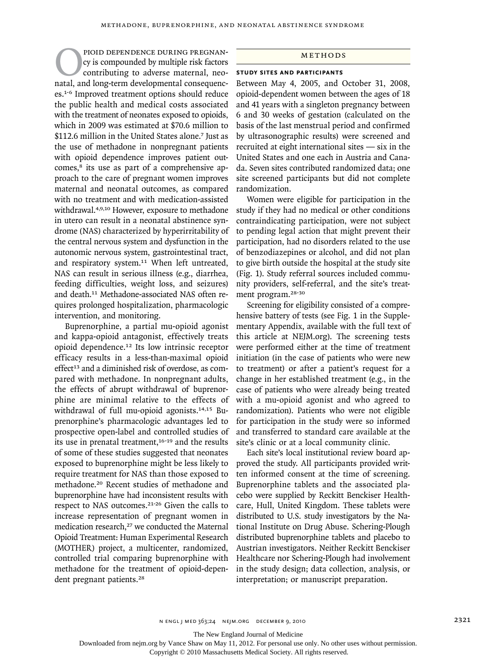PIOID DEPENDENCE DURING PREGNAN-<br>cy is compounded by multiple risk factors<br>contributing to adverse maternal, neo-<br>natal, and long-term developmental consequenccy is compounded by multiple risk factors contributing to adverse maternal, neoes.1-6 Improved treatment options should reduce the public health and medical costs associated with the treatment of neonates exposed to opioids, which in 2009 was estimated at \$70.6 million to \$112.6 million in the United States alone.7 Just as the use of methadone in nonpregnant patients with opioid dependence improves patient outcomes,<sup>8</sup> its use as part of a comprehensive approach to the care of pregnant women improves maternal and neonatal outcomes, as compared with no treatment and with medication-assisted withdrawal.4,9,10 However, exposure to methadone in utero can result in a neonatal abstinence syndrome (NAS) characterized by hyperirritability of the central nervous system and dysfunction in the autonomic nervous system, gastrointestinal tract, and respiratory system.<sup>11</sup> When left untreated, NAS can result in serious illness (e.g., diarrhea, feeding difficulties, weight loss, and seizures) and death.11 Methadone-associated NAS often requires prolonged hospitalization, pharmacologic intervention, and monitoring.

Buprenorphine, a partial mu-opioid agonist and kappa-opioid antagonist, effectively treats opioid dependence.12 Its low intrinsic receptor efficacy results in a less-than-maximal opioid effect<sup>13</sup> and a diminished risk of overdose, as compared with methadone. In nonpregnant adults, the effects of abrupt withdrawal of buprenorphine are minimal relative to the effects of withdrawal of full mu-opioid agonists.14,15 Buprenorphine's pharmacologic advantages led to prospective open-label and controlled studies of its use in prenatal treatment,<sup>16-19</sup> and the results of some of these studies suggested that neonates exposed to buprenorphine might be less likely to require treatment for NAS than those exposed to methadone.20 Recent studies of methadone and buprenorphine have had inconsistent results with respect to NAS outcomes.21-26 Given the calls to increase representation of pregnant women in medication research,<sup>27</sup> we conducted the Maternal Opioid Treatment: Human Experimental Research (MOTHER) project, a multicenter, randomized, controlled trial comparing buprenorphine with methadone for the treatment of opioid-dependent pregnant patients.<sup>28</sup>

## METHODS

## **Study Sites and Participants**

Between May 4, 2005, and October 31, 2008, opioid-dependent women between the ages of 18 and 41 years with a singleton pregnancy between 6 and 30 weeks of gestation (calculated on the basis of the last menstrual period and confirmed by ultrasonographic results) were screened and recruited at eight international sites — six in the United States and one each in Austria and Canada. Seven sites contributed randomized data; one site screened participants but did not complete randomization.

Women were eligible for participation in the study if they had no medical or other conditions contraindicating participation, were not subject to pending legal action that might prevent their participation, had no disorders related to the use of benzodiazepines or alcohol, and did not plan to give birth outside the hospital at the study site (Fig. 1). Study referral sources included community providers, self-referral, and the site's treatment program.28-30

Screening for eligibility consisted of a comprehensive battery of tests (see Fig. 1 in the Supplementary Appendix, available with the full text of this article at NEJM.org). The screening tests were performed either at the time of treatment initiation (in the case of patients who were new to treatment) or after a patient's request for a change in her established treatment (e.g., in the case of patients who were already being treated with a mu-opioid agonist and who agreed to randomization). Patients who were not eligible for participation in the study were so informed and transferred to standard care available at the site's clinic or at a local community clinic.

Each site's local institutional review board approved the study. All participants provided written informed consent at the time of screening. Buprenorphine tablets and the associated placebo were supplied by Reckitt Benckiser Healthcare, Hull, United Kingdom. These tablets were distributed to U.S. study investigators by the National Institute on Drug Abuse. Schering-Plough distributed buprenorphine tablets and placebo to Austrian investigators. Neither Reckitt Benckiser Healthcare nor Schering-Plough had involvement in the study design; data collection, analysis, or interpretation; or manuscript preparation.

The New England Journal of Medicine

Downloaded from nejm.org by Vance Shaw on May 11, 2012. For personal use only. No other uses without permission.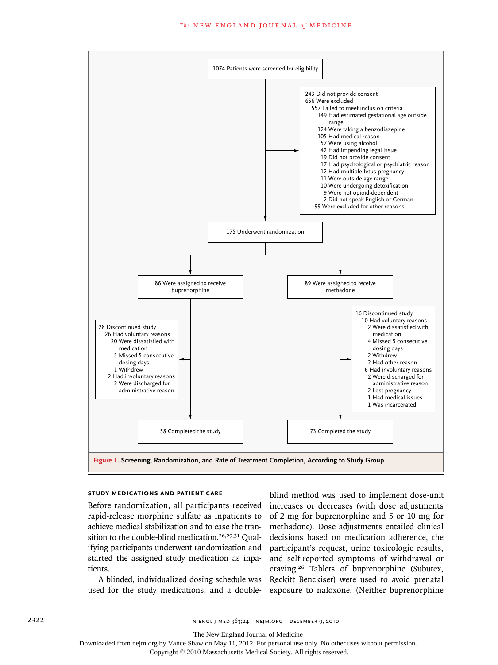

## **Study Medications and Patient Care**

Before randomization, all participants received rapid-release morphine sulfate as inpatients to achieve medical stabilization and to ease the transition to the double-blind medication.<sup>26,29,31</sup> Qualifying participants underwent randomization and started the assigned study medication as inpatients.

A blinded, individualized dosing schedule was used for the study medications, and a double-

blind method was used to implement dose-unit increases or decreases (with dose adjustments of 2 mg for buprenorphine and 5 or 10 mg for methadone). Dose adjustments entailed clinical decisions based on medication adherence, the participant's request, urine toxicologic results, and self-reported symptoms of withdrawal or craving.26 Tablets of buprenorphine (Subutex, Reckitt Benckiser) were used to avoid prenatal exposure to naloxone. (Neither buprenorphine

The New England Journal of Medicine

Downloaded from nejm.org by Vance Shaw on May 11, 2012. For personal use only. No other uses without permission.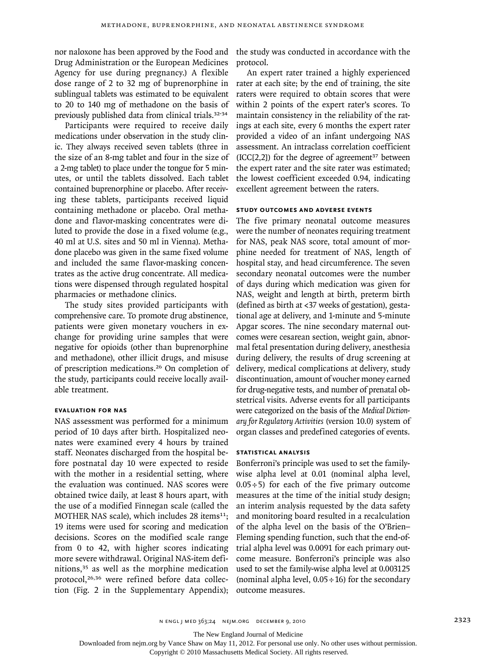nor naloxone has been approved by the Food and Drug Administration or the European Medicines Agency for use during pregnancy.) A flexible dose range of 2 to 32 mg of buprenorphine in sublingual tablets was estimated to be equivalent to 20 to 140 mg of methadone on the basis of previously published data from clinical trials.32-34

Participants were required to receive daily medications under observation in the study clinic. They always received seven tablets (three in the size of an 8-mg tablet and four in the size of a 2-mg tablet) to place under the tongue for 5 minutes, or until the tablets dissolved. Each tablet contained buprenorphine or placebo. After receiving these tablets, participants received liquid containing methadone or placebo. Oral methadone and flavor-masking concentrates were diluted to provide the dose in a fixed volume (e.g., 40 ml at U.S. sites and 50 ml in Vienna). Methadone placebo was given in the same fixed volume and included the same flavor-masking concentrates as the active drug concentrate. All medications were dispensed through regulated hospital pharmacies or methadone clinics.

The study sites provided participants with comprehensive care. To promote drug abstinence, patients were given monetary vouchers in exchange for providing urine samples that were negative for opioids (other than buprenorphine and methadone), other illicit drugs, and misuse of prescription medications.26 On completion of the study, participants could receive locally available treatment.

## **Evaluation for NAS**

NAS assessment was performed for a minimum period of 10 days after birth. Hospitalized neonates were examined every 4 hours by trained staff. Neonates discharged from the hospital before postnatal day 10 were expected to reside with the mother in a residential setting, where the evaluation was continued. NAS scores were obtained twice daily, at least 8 hours apart, with the use of a modified Finnegan scale (called the MOTHER NAS scale), which includes  $28$  items $^{11}$ : 19 items were used for scoring and medication decisions. Scores on the modified scale range from 0 to 42, with higher scores indicating more severe withdrawal. Original NAS-item definitions,35 as well as the morphine medication protocol,26,36 were refined before data collection (Fig. 2 in the Supplementary Appendix);

the study was conducted in accordance with the protocol.

An expert rater trained a highly experienced rater at each site; by the end of training, the site raters were required to obtain scores that were within 2 points of the expert rater's scores. To maintain consistency in the reliability of the ratings at each site, every 6 months the expert rater provided a video of an infant undergoing NAS assessment. An intraclass correlation coefficient  $(ICC[2,2])$  for the degree of agreement<sup>37</sup> between the expert rater and the site rater was estimated; the lowest coefficient exceeded 0.94, indicating excellent agreement between the raters.

## **Study Outcomes and Adverse Events**

The five primary neonatal outcome measures were the number of neonates requiring treatment for NAS, peak NAS score, total amount of morphine needed for treatment of NAS, length of hospital stay, and head circumference. The seven secondary neonatal outcomes were the number of days during which medication was given for NAS, weight and length at birth, preterm birth (defined as birth at <37 weeks of gestation), gestational age at delivery, and 1-minute and 5-minute Apgar scores. The nine secondary maternal outcomes were cesarean section, weight gain, abnormal fetal presentation during delivery, anesthesia during delivery, the results of drug screening at delivery, medical complications at delivery, study discontinuation, amount of voucher money earned for drug-negative tests, and number of prenatal obstetrical visits. Adverse events for all participants were categorized on the basis of the *Medical Dictionary for Regulatory Activities* (version 10.0) system of organ classes and predefined categories of events.

## **Statistical Analysis**

Bonferroni's principle was used to set the familywise alpha level at 0.01 (nominal alpha level,  $0.05 \div 5$ ) for each of the five primary outcome measures at the time of the initial study design; an interim analysis requested by the data safety and monitoring board resulted in a recalculation of the alpha level on the basis of the O'Brien– Fleming spending function, such that the end-oftrial alpha level was 0.0091 for each primary outcome measure. Bonferroni's principle was also used to set the family-wise alpha level at 0.003125 (nominal alpha level,  $0.05 \div 16$ ) for the secondary outcome measures.

The New England Journal of Medicine

Downloaded from nejm.org by Vance Shaw on May 11, 2012. For personal use only. No other uses without permission.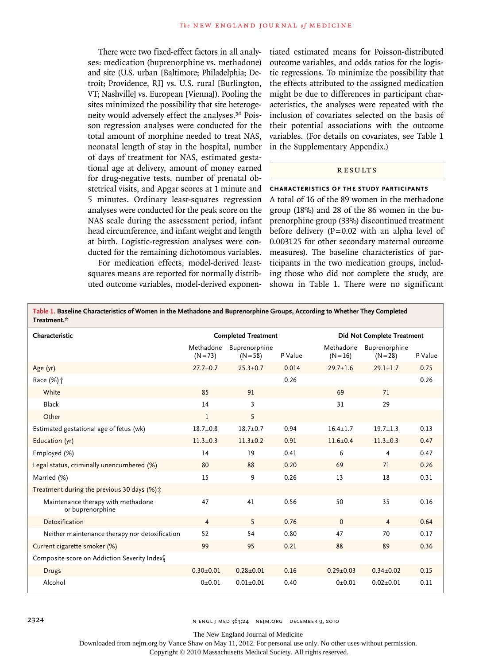There were two fixed-effect factors in all analyses: medication (buprenorphine vs. methadone) and site (U.S. urban [Baltimore; Philadelphia; Detroit; Providence, RI] vs. U.S. rural [Burlington, VT; Nashville] vs. European [Vienna]). Pooling the sites minimized the possibility that site heterogeneity would adversely effect the analyses.30 Poisson regression analyses were conducted for the total amount of morphine needed to treat NAS, neonatal length of stay in the hospital, number of days of treatment for NAS, estimated gestational age at delivery, amount of money earned for drug-negative tests, number of prenatal obstetrical visits, and Apgar scores at 1 minute and 5 minutes. Ordinary least-squares regression analyses were conducted for the peak score on the NAS scale during the assessment period, infant head circumference, and infant weight and length at birth. Logistic-regression analyses were conducted for the remaining dichotomous variables. For medication effects, model-derived least-

squares means are reported for normally distributed outcome variables, model-derived exponentiated estimated means for Poisson-distributed outcome variables, and odds ratios for the logistic regressions. To minimize the possibility that the effects attributed to the assigned medication might be due to differences in participant characteristics, the analyses were repeated with the inclusion of covariates selected on the basis of their potential associations with the outcome variables. (For details on covariates, see Table 1 in the Supplementary Appendix.)

## R esult s

## **Characteristics of the Study Participants**

A total of 16 of the 89 women in the methadone group (18%) and 28 of the 86 women in the buprenorphine group (33%) discontinued treatment before delivery  $(P=0.02$  with an alpha level of 0.003125 for other secondary maternal outcome measures). The baseline characteristics of participants in the two medication groups, including those who did not complete the study, are shown in Table 1. There were no significant

| Table 1. Baseline Characteristics of Women in the Methadone and Buprenorphine Groups, According to Whether They Completed<br>Treatment.* |                            |                             |         |                         |                             |         |  |
|------------------------------------------------------------------------------------------------------------------------------------------|----------------------------|-----------------------------|---------|-------------------------|-----------------------------|---------|--|
| Characteristic                                                                                                                           | <b>Completed Treatment</b> |                             |         |                         | Did Not Complete Treatment  |         |  |
|                                                                                                                                          | Methadone<br>$(N = 73)$    | Buprenorphine<br>$(N = 58)$ | P Value | Methadone<br>$(N = 16)$ | Buprenorphine<br>$(N = 28)$ | P Value |  |
| Age (yr)                                                                                                                                 | $27.7 \pm 0.7$             | $25.3 \pm 0.7$              | 0.014   | $29.7 \pm 1.6$          | $29.1 \pm 1.7$              | 0.75    |  |
| Race (%) †                                                                                                                               |                            |                             | 0.26    |                         |                             | 0.26    |  |
| White                                                                                                                                    | 85                         | 91                          |         | 69                      | 71                          |         |  |
| Black                                                                                                                                    | 14                         | 3                           |         | 31                      | 29                          |         |  |
| Other                                                                                                                                    | $\mathbf{1}$               | 5                           |         |                         |                             |         |  |
| Estimated gestational age of fetus (wk)                                                                                                  | $18.7 \pm 0.8$             | $18.7 \pm 0.7$              | 0.94    | $16.4 \pm 1.7$          | $19.7 \pm 1.3$              | 0.13    |  |
| Education (yr)                                                                                                                           | $11.3 \pm 0.3$             | $11.3 \pm 0.2$              | 0.91    | $11.6 \pm 0.4$          | $11.3 \pm 0.3$              | 0.47    |  |
| Employed (%)                                                                                                                             | 14                         | 19                          | 0.41    | 6                       | 4                           | 0.47    |  |
| Legal status, criminally unencumbered (%)                                                                                                | 80                         | 88                          | 0.20    | 69                      | 71                          | 0.26    |  |
| Married (%)                                                                                                                              | 15                         | 9                           | 0.26    | 13                      | 18                          | 0.31    |  |
| Treatment during the previous 30 days $(\%)$ :                                                                                           |                            |                             |         |                         |                             |         |  |
| Maintenance therapy with methadone<br>or buprenorphine                                                                                   | 47                         | 41                          | 0.56    | 50                      | 35                          | 0.16    |  |
| Detoxification                                                                                                                           | $\overline{4}$             | 5                           | 0.76    | $\mathbf 0$             | $\overline{4}$              | 0.64    |  |
| Neither maintenance therapy nor detoxification                                                                                           | 52                         | 54                          | 0.80    | 47                      | 70                          | 0.17    |  |
| Current cigarette smoker (%)                                                                                                             | 99                         | 95                          | 0.21    | 88                      | 89                          | 0.36    |  |
| Composite score on Addiction Severity Index                                                                                              |                            |                             |         |                         |                             |         |  |
| <b>Drugs</b>                                                                                                                             | $0.30 \pm 0.01$            | $0.28 \pm 0.01$             | 0.16    | $0.29 \pm 0.03$         | $0.34 \pm 0.02$             | 0.15    |  |
| Alcohol                                                                                                                                  | $0 + 0.01$                 | $0.01 \pm 0.01$             | 0.40    | $0 + 0.01$              | $0.02 \pm 0.01$             | 0.11    |  |

2324 n engl j med 363;24 nejm.org december 9, 2010

The New England Journal of Medicine

Downloaded from nejm.org by Vance Shaw on May 11, 2012. For personal use only. No other uses without permission.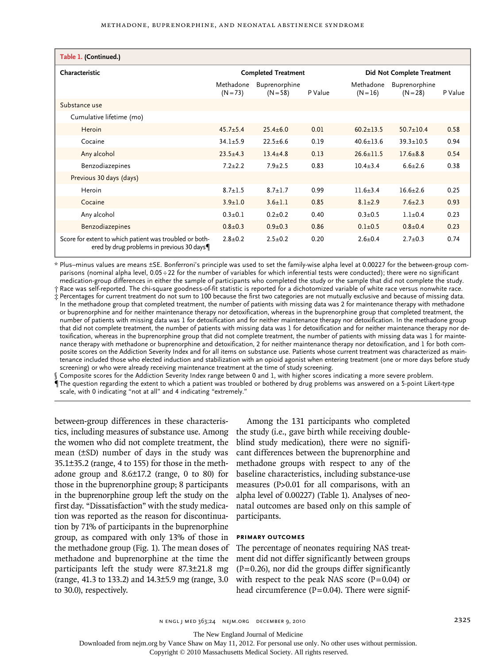| Table 1. (Continued.)                                                                                |                            |                             |         |                         |                             |         |  |
|------------------------------------------------------------------------------------------------------|----------------------------|-----------------------------|---------|-------------------------|-----------------------------|---------|--|
| Characteristic                                                                                       | <b>Completed Treatment</b> |                             |         |                         | Did Not Complete Treatment  |         |  |
|                                                                                                      | Methadone<br>$(N = 73)$    | Buprenorphine<br>$(N = 58)$ | P Value | Methadone<br>$(N = 16)$ | Buprenorphine<br>$(N = 28)$ | P Value |  |
| Substance use                                                                                        |                            |                             |         |                         |                             |         |  |
| Cumulative lifetime (mo)                                                                             |                            |                             |         |                         |                             |         |  |
| Heroin                                                                                               | $45.7 \pm 5.4$             | $25.4 \pm 6.0$              | 0.01    | $60.2 \pm 13.5$         | $50.7 \pm 10.4$             | 0.58    |  |
| Cocaine                                                                                              | $34.1 \pm 5.9$             | $22.5 + 6.6$                | 0.19    | $40.6 \pm 13.6$         | $39.3 \pm 10.5$             | 0.94    |  |
| Any alcohol                                                                                          | $23.5 + 4.3$               | $13.4 + 4.8$                | 0.13    | $26.6 \pm 11.5$         | $17.6 + 8.8$                | 0.54    |  |
| Benzodiazepines                                                                                      | $7.2 + 2.2$                | $7.9 \pm 2.5$               | 0.83    | $10.4 + 3.4$            | $6.6 + 2.6$                 | 0.38    |  |
| Previous 30 days (days)                                                                              |                            |                             |         |                         |                             |         |  |
| Heroin                                                                                               | $8.7 \pm 1.5$              | $8.7 \pm 1.7$               | 0.99    | $11.6 + 3.4$            | $16.6 + 2.6$                | 0.25    |  |
| Cocaine                                                                                              | $3.9 \pm 1.0$              | $3.6 \pm 1.1$               | 0.85    | $8.1 \pm 2.9$           | $7.6 \pm 2.3$               | 0.93    |  |
| Any alcohol                                                                                          | $0.3 \pm 0.1$              | $0.2 + 0.2$                 | 0.40    | $0.3 \pm 0.5$           | $1.1 \pm 0.4$               | 0.23    |  |
| <b>Benzodiazepines</b>                                                                               | $0.8 \pm 0.3$              | $0.9 + 0.3$                 | 0.86    | $0.1 \pm 0.5$           | $0.8 + 0.4$                 | 0.23    |  |
| Score for extent to which patient was troubled or both-<br>ered by drug problems in previous 30 days | $2.8 \pm 0.2$              | $2.5 \pm 0.2$               | 0.20    | $2.6 + 0.4$             | $2.7+0.3$                   | 0.74    |  |

\* Plus–minus values are means ±SE. Bonferroni's principle was used to set the family-wise alpha level at 0.00227 for the between-group comparisons (nominal alpha level, 0.05÷22 for the number of variables for which inferential tests were conducted); there were no significant medication-group differences in either the sample of participants who completed the study or the sample that did not complete the study.

† Race was self-reported. The chi-square goodness-of-fit statistic is reported for a dichotomized variable of white race versus nonwhite race. ‡ Percentages for current treatment do not sum to 100 because the first two categories are not mutually exclusive and because of missing data.

In the methadone group that completed treatment, the number of patients with missing data was 2 for maintenance therapy with methadone or buprenorphine and for neither maintenance therapy nor detoxification, whereas in the buprenorphine group that completed treatment, the number of patients with missing data was 1 for detoxification and for neither maintenance therapy nor detoxification. In the methadone group that did not complete treatment, the number of patients with missing data was 1 for detoxification and for neither maintenance therapy nor detoxification, whereas in the buprenorphine group that did not complete treatment, the number of patients with missing data was 1 for maintenance therapy with methadone or buprenorphine and detoxification, 2 for neither maintenance therapy nor detoxification, and 1 for both composite scores on the Addiction Severity Index and for all items on substance use. Patients whose current treatment was characterized as maintenance included those who elected induction and stabilization with an opioid agonist when entering treatment (one or more days before study screening) or who were already receiving maintenance treatment at the time of study screening.

§ Composite scores for the Addiction Severity Index range between 0 and 1, with higher scores indicating a more severe problem. ¶The question regarding the extent to which a patient was troubled or bothered by drug problems was answered on a 5-point Likert-type scale, with 0 indicating "not at all" and 4 indicating "extremely."

between-group differences in these characteristics, including measures of substance use. Among the women who did not complete treatment, the mean (±SD) number of days in the study was 35.1±35.2 (range, 4 to 155) for those in the methadone group and 8.6±17.2 (range, 0 to 80) for those in the buprenorphine group; 8 participants in the buprenorphine group left the study on the first day. "Dissatisfaction" with the study medication was reported as the reason for discontinuation by 71% of participants in the buprenorphine group, as compared with only 13% of those in the methadone group (Fig. 1). The mean doses of methadone and buprenorphine at the time the participants left the study were 87.3±21.8 mg (range, 41.3 to 133.2) and 14.3±5.9 mg (range, 3.0 to 30.0), respectively.

Among the 131 participants who completed the study (i.e., gave birth while receiving doubleblind study medication), there were no significant differences between the buprenorphine and methadone groups with respect to any of the baseline characteristics, including substance-use measures (P>0.01 for all comparisons, with an alpha level of 0.00227) (Table 1). Analyses of neonatal outcomes are based only on this sample of participants.

## **Primary Outcomes**

The percentage of neonates requiring NAS treatment did not differ significantly between groups  $(P=0.26)$ , nor did the groups differ significantly with respect to the peak NAS score  $(P=0.04)$  or head circumference  $(P=0.04)$ . There were signif-

n engl j med 363;24 nejm.org december 9, 2010 2325

The New England Journal of Medicine

Downloaded from nejm.org by Vance Shaw on May 11, 2012. For personal use only. No other uses without permission.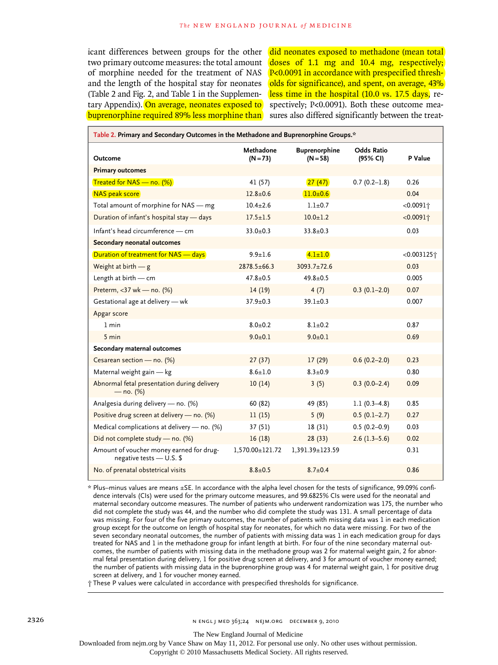icant differences between groups for the other two primary outcome measures: the total amount of morphine needed for the treatment of NAS and the length of the hospital stay for neonates (Table 2 and Fig. 2, and Table 1 in the Supplementary Appendix). On average, neonates exposed to buprenorphine required 89% less morphine than

did neonates exposed to methadone (mean total doses of 1.1 mg and 10.4 mg, respectively; P<0.0091 in accordance with prespecified thresholds for significance), and spent, on average, 43% less time in the hospital (10.0 vs. 17.5 days, respectively; P<0.0091). Both these outcome measures also differed significantly between the treat-

| Table 2. Primary and Secondary Outcomes in the Methadone and Buprenorphine Groups.* |                         |                                    |                               |                          |  |
|-------------------------------------------------------------------------------------|-------------------------|------------------------------------|-------------------------------|--------------------------|--|
| <b>Outcome</b>                                                                      | Methadone<br>$(N = 73)$ | <b>Buprenorphine</b><br>$(N = 58)$ | <b>Odds Ratio</b><br>(95% CI) | P Value                  |  |
| <b>Primary outcomes</b>                                                             |                         |                                    |                               |                          |  |
| Treated for NAS - no. (%)                                                           | 41 (57)                 | 27(47)                             | $0.7(0.2-1.8)$                | 0.26                     |  |
| <b>NAS</b> peak score                                                               | $12.8 + 0.6$            | $11.0 + 0.6$                       |                               | 0.04                     |  |
| Total amount of morphine for NAS - mg                                               | $10.4 + 2.6$            | $1.1 + 0.7$                        |                               | $<0.0091$ <sup>+</sup>   |  |
| Duration of infant's hospital stay - days                                           | $17.5 + 1.5$            | $10.0 + 1.2$                       |                               | $< 0.0091$ <sup>+</sup>  |  |
| Infant's head circumference - cm                                                    | $33.0 + 0.3$            | $33.8 + 0.3$                       |                               | 0.03                     |  |
| Secondary neonatal outcomes                                                         |                         |                                    |                               |                          |  |
| Duration of treatment for NAS - days                                                | $9.9 + 1.6$             | $4.1 \pm 1.0$                      |                               | $<0.003125$ <sup>+</sup> |  |
| Weight at birth $-$ g                                                               | $2878.5 \pm 66.3$       | $3093.7 \pm 72.6$                  |                               | 0.03                     |  |
| Length at birth - cm                                                                | $47.8 + 0.5$            | $49.8 + 0.5$                       |                               | 0.005                    |  |
| Preterm, $<$ 37 wk — no. (%)                                                        | 14(19)                  | 4(7)                               | $0.3(0.1-2.0)$                | 0.07                     |  |
| Gestational age at delivery - wk                                                    | $37.9 \pm 0.3$          | $39.1 \pm 0.3$                     |                               | 0.007                    |  |
| Apgar score                                                                         |                         |                                    |                               |                          |  |
| 1 min                                                                               | $8.0 + 0.2$             | $8.1 + 0.2$                        |                               | 0.87                     |  |
| 5 min                                                                               | $9.0 + 0.1$             | $9.0 + 0.1$                        |                               | 0.69                     |  |
| Secondary maternal outcomes                                                         |                         |                                    |                               |                          |  |
| Cesarean section - no. (%)                                                          | 27(37)                  | 17(29)                             | $0.6(0.2 - 2.0)$              | 0.23                     |  |
| Maternal weight gain - kg                                                           | $8.6 + 1.0$             | $8.3 + 0.9$                        |                               | 0.80                     |  |
| Abnormal fetal presentation during delivery<br>$-$ no. (%)                          | 10(14)                  | 3(5)                               | $0.3(0.0-2.4)$                | 0.09                     |  |
| Analgesia during delivery - no. (%)                                                 | 60 (82)                 | 49 (85)                            | $1.1(0.3-4.8)$                | 0.85                     |  |
| Positive drug screen at delivery - no. (%)                                          | 11(15)                  | 5(9)                               | $0.5(0.1-2.7)$                | 0.27                     |  |
| Medical complications at delivery - no. (%)                                         | 37(51)                  | 18(31)                             | $0.5(0.2-0.9)$                | 0.03                     |  |
| Did not complete study - no. (%)                                                    | 16(18)                  | 28(33)                             | $2.6(1.3-5.6)$                | 0.02                     |  |
| Amount of voucher money earned for drug-<br>negative tests - U.S. \$                | 1,570.00±121.72         | 1,391.39±123.59                    |                               | 0.31                     |  |
| No. of prenatal obstetrical visits                                                  | $8.8 + 0.5$             | $8.7+0.4$                          |                               | 0.86                     |  |

\* Plus–minus values are means ±SE. In accordance with the alpha level chosen for the tests of significance, 99.09% confidence intervals (CIs) were used for the primary outcome measures, and 99.6825% CIs were used for the neonatal and maternal secondary outcome measures. The number of patients who underwent randomization was 175, the number who did not complete the study was 44, and the number who did complete the study was 131. A small percentage of data was missing. For four of the five primary outcomes, the number of patients with missing data was 1 in each medication group except for the outcome on length of hospital stay for neonates, for which no data were missing. For two of the seven secondary neonatal outcomes, the number of patients with missing data was 1 in each medication group for days treated for NAS and 1 in the methadone group for infant length at birth. For four of the nine secondary maternal outcomes, the number of patients with missing data in the methadone group was 2 for maternal weight gain, 2 for abnormal fetal presentation during delivery, 1 for positive drug screen at delivery, and 3 for amount of voucher money earned; the number of patients with missing data in the buprenorphine group was 4 for maternal weight gain, 1 for positive drug screen at delivery, and 1 for voucher money earned.

† These P values were calculated in accordance with prespecified thresholds for significance.

The New England Journal of Medicine

Downloaded from nejm.org by Vance Shaw on May 11, 2012. For personal use only. No other uses without permission.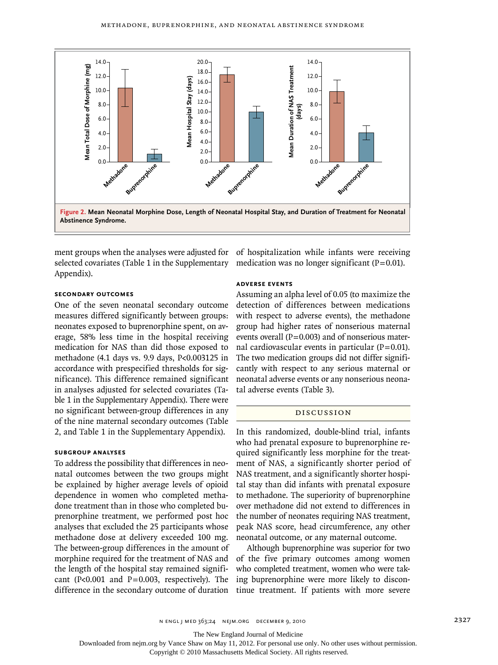

selected covariates (Table 1 in the Supplementary medication was no longer significant (P=0.01). Appendix).

## **Secondary Outcomes**

One of the seven neonatal secondary outcome measures differed significantly between groups: neonates exposed to buprenorphine spent, on average, 58% less time in the hospital receiving medication for NAS than did those exposed to methadone (4.1 days vs. 9.9 days, P<0.003125 in accordance with prespecified thresholds for significance). This difference remained significant in analyses adjusted for selected covariates (Table 1 in the Supplementary Appendix). There were no significant between-group differences in any of the nine maternal secondary outcomes (Table 2, and Table 1 in the Supplementary Appendix).

## **Subgroup Analyses**

To address the possibility that differences in neonatal outcomes between the two groups might be explained by higher average levels of opioid dependence in women who completed methadone treatment than in those who completed buprenorphine treatment, we performed post hoc analyses that excluded the 25 participants whose methadone dose at delivery exceeded 100 mg. The between-group differences in the amount of morphine required for the treatment of NAS and the length of the hospital stay remained significant (P<0.001 and P=0.003, respectively). The difference in the secondary outcome of duration

ment groups when the analyses were adjusted for of hospitalization while infants were receiving

## **Adverse Events**

Assuming an alpha level of 0.05 (to maximize the detection of differences between medications with respect to adverse events), the methadone group had higher rates of nonserious maternal events overall  $(P=0.003)$  and of nonserious maternal cardiovascular events in particular  $(P=0.01)$ . The two medication groups did not differ significantly with respect to any serious maternal or neonatal adverse events or any nonserious neonatal adverse events (Table 3).

### Discussion

In this randomized, double-blind trial, infants who had prenatal exposure to buprenorphine required significantly less morphine for the treatment of NAS, a significantly shorter period of NAS treatment, and a significantly shorter hospital stay than did infants with prenatal exposure to methadone. The superiority of buprenorphine over methadone did not extend to differences in the number of neonates requiring NAS treatment, peak NAS score, head circumference, any other neonatal outcome, or any maternal outcome.

Although buprenorphine was superior for two of the five primary outcomes among women who completed treatment, women who were taking buprenorphine were more likely to discontinue treatment. If patients with more severe

The New England Journal of Medicine

Downloaded from nejm.org by Vance Shaw on May 11, 2012. For personal use only. No other uses without permission.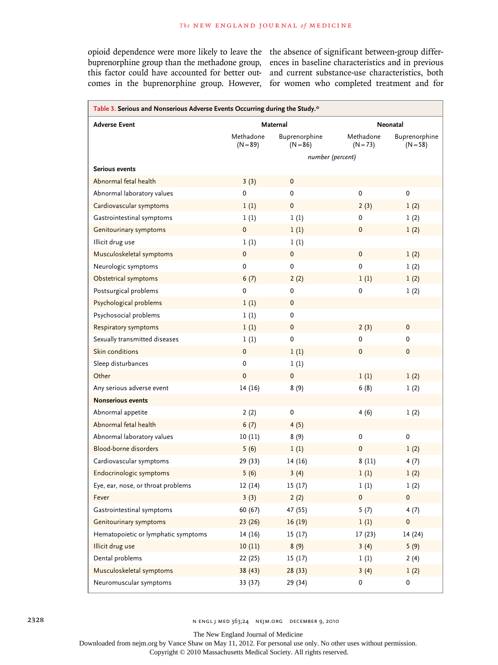comes in the buprenorphine group. However, for women who completed treatment and for

opioid dependence were more likely to leave the the absence of significant between-group differbuprenorphine group than the methadone group, ences in baseline characteristics and in previous this factor could have accounted for better out-and current substance-use characteristics, both

| Table 3. Serious and Nonserious Adverse Events Occurring during the Study.* |                         |                             |                         |                             |  |  |
|-----------------------------------------------------------------------------|-------------------------|-----------------------------|-------------------------|-----------------------------|--|--|
| Adverse Event                                                               | Maternal                |                             |                         | Neonatal                    |  |  |
|                                                                             | Methadone<br>$(N = 89)$ | Buprenorphine<br>$(N = 86)$ | Methadone<br>$(N = 73)$ | Buprenorphine<br>$(N = 58)$ |  |  |
|                                                                             | number (percent)        |                             |                         |                             |  |  |
| <b>Serious events</b>                                                       |                         |                             |                         |                             |  |  |
| Abnormal fetal health                                                       | 3(3)                    | $\mathbf 0$                 |                         |                             |  |  |
| Abnormal laboratory values                                                  | 0                       | 0                           | $\pmb{0}$               | $\pmb{0}$                   |  |  |
| Cardiovascular symptoms                                                     | 1(1)                    | $\pmb{0}$                   | 2(3)                    | 1(2)                        |  |  |
| Gastrointestinal symptoms                                                   | 1(1)                    | 1(1)                        | 0                       | 1(2)                        |  |  |
| Genitourinary symptoms                                                      | $\pmb{0}$               | 1(1)                        | $\mathbf 0$             | 1(2)                        |  |  |
| Illicit drug use                                                            | 1(1)                    | 1(1)                        |                         |                             |  |  |
| Musculoskeletal symptoms                                                    | $\pmb{0}$               | $\pmb{0}$                   | $\mathbf 0$             | 1(2)                        |  |  |
| Neurologic symptoms                                                         | 0                       | $\pmb{0}$                   | $\mathbf 0$             | 1(2)                        |  |  |
| Obstetrical symptoms                                                        | 6(7)                    | 2(2)                        | 1(1)                    | 1(2)                        |  |  |
| Postsurgical problems                                                       | 0                       | 0                           | 0                       | 1(2)                        |  |  |
| Psychological problems                                                      | 1(1)                    | 0                           |                         |                             |  |  |
| Psychosocial problems                                                       | 1(1)                    | 0                           |                         |                             |  |  |
| Respiratory symptoms                                                        | 1(1)                    | $\pmb{0}$                   | 2(3)                    | $\mathbf 0$                 |  |  |
| Sexually transmitted diseases                                               | 1(1)                    | 0                           | 0                       | 0                           |  |  |
| Skin conditions                                                             | $\pmb{0}$               | 1(1)                        | $\mathbf{0}$            | $\mathbf{0}$                |  |  |
| Sleep disturbances                                                          | 0                       | 1(1)                        |                         |                             |  |  |
| Other                                                                       | $\mathbf{0}$            | $\mathbf{0}$                | 1(1)                    | 1(2)                        |  |  |
| Any serious adverse event                                                   | 14 (16)                 | 8(9)                        | 6(8)                    | 1(2)                        |  |  |
| <b>Nonserious events</b>                                                    |                         |                             |                         |                             |  |  |
| Abnormal appetite                                                           | 2(2)                    | 0                           | 4(6)                    | 1(2)                        |  |  |
| Abnormal fetal health                                                       | 6(7)                    | 4(5)                        |                         |                             |  |  |
| Abnormal laboratory values                                                  | 10(11)                  | 8(9)                        | 0                       | $\mathbf 0$                 |  |  |
| <b>Blood-borne disorders</b>                                                | 5(6)                    | 1(1)                        | $\mathbf 0$             | 1(2)                        |  |  |
| Cardiovascular symptoms                                                     | 29 (33)                 | 14(16)                      | 8(11)                   | 4(7)                        |  |  |
| Endocrinologic symptoms                                                     | 5(6)                    | 3(4)                        | 1(1)                    | 1(2)                        |  |  |
| Eye, ear, nose, or throat problems                                          | 12(14)                  | 15(17)                      | 1(1)                    | 1(2)                        |  |  |
| Fever                                                                       | 3(3)                    | 2(2)                        | 0                       | 0                           |  |  |
| Gastrointestinal symptoms                                                   | 60 (67)                 | 47 (55)                     | 5(7)                    | 4(7)                        |  |  |
| Genitourinary symptoms                                                      | 23(26)                  | 16(19)                      | 1(1)                    | $\pmb{0}$                   |  |  |
| Hematopoietic or lymphatic symptoms                                         | 14(16)                  | 15(17)                      | 17(23)                  | 14(24)                      |  |  |
| Illicit drug use                                                            | 10(11)                  | 8(9)                        | 3(4)                    | 5(9)                        |  |  |
| Dental problems                                                             | 22 (25)                 | 15(17)                      | 1(1)                    | 2(4)                        |  |  |
| Musculoskeletal symptoms                                                    | 38(43)                  | 28(33)                      | 3(4)                    | 1(2)                        |  |  |
| Neuromuscular symptoms                                                      | 33(37)                  | 29 (34)                     | 0                       | 0                           |  |  |

2328 **n engl j med 363;24 NEJM.ORG DECEMBER 9, 2010** 

The New England Journal of Medicine

Downloaded from nejm.org by Vance Shaw on May 11, 2012. For personal use only. No other uses without permission.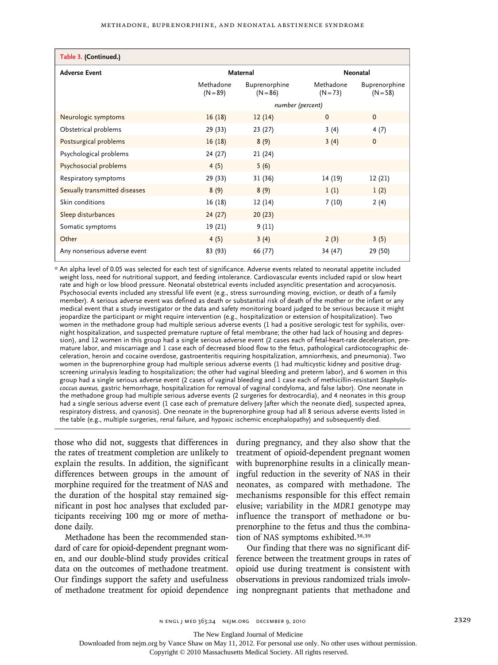| Table 3. (Continued.)         |                         |                             |                         |                             |  |  |
|-------------------------------|-------------------------|-----------------------------|-------------------------|-----------------------------|--|--|
| <b>Adverse Event</b>          | Maternal                |                             | Neonatal                |                             |  |  |
|                               | Methadone<br>$(N = 89)$ | Buprenorphine<br>$(N = 86)$ | Methadone<br>$(N = 73)$ | Buprenorphine<br>$(N = 58)$ |  |  |
|                               |                         | number (percent)            |                         |                             |  |  |
| Neurologic symptoms           | 16(18)                  | 12(14)                      | $\mathbf{0}$            | $\mathbf{0}$                |  |  |
| Obstetrical problems          | 29 (33)                 | 23 (27)                     | 3(4)                    | 4(7)                        |  |  |
| Postsurgical problems         | 16(18)                  | 8(9)                        | 3(4)                    | $\mathbf{0}$                |  |  |
| Psychological problems        | 24 (27)                 | 21(24)                      |                         |                             |  |  |
| Psychosocial problems         | 4(5)                    | 5(6)                        |                         |                             |  |  |
| Respiratory symptoms          | 29 (33)                 | 31 (36)                     | 14 (19)                 | 12(21)                      |  |  |
| Sexually transmitted diseases | 8(9)                    | 8(9)                        | 1(1)                    | 1(2)                        |  |  |
| Skin conditions               | 16 (18)                 | 12(14)                      | 7(10)                   | 2(4)                        |  |  |
| Sleep disturbances            | 24(27)                  | 20(23)                      |                         |                             |  |  |
| Somatic symptoms              | 19 (21)                 | 9(11)                       |                         |                             |  |  |
| Other                         | 4(5)                    | 3(4)                        | 2(3)                    | 3(5)                        |  |  |
| Any nonserious adverse event  | 83 (93)                 | 66 (77)                     | 34 (47)                 | 29 (50)                     |  |  |

*\** An alpha level of 0.05 was selected for each test of significance. Adverse events related to neonatal appetite included weight loss, need for nutritional support, and feeding intolerance. Cardiovascular events included rapid or slow heart rate and high or low blood pressure. Neonatal obstetrical events included asynclitic presentation and acrocyanosis. Psychosocial events included any stressful life event (e.g., stress surrounding moving, eviction, or death of a family member). A serious adverse event was defined as death or substantial risk of death of the mother or the infant or any medical event that a study investigator or the data and safety monitoring board judged to be serious because it might jeopardize the participant or might require intervention (e.g., hospitalization or extension of hospitalization). Two women in the methadone group had multiple serious adverse events (1 had a positive serologic test for syphilis, overnight hospitalization, and suspected premature rupture of fetal membrane; the other had lack of housing and depression), and 12 women in this group had a single serious adverse event (2 cases each of fetal-heart-rate deceleration, premature labor, and miscarriage and 1 case each of decreased blood flow to the fetus, pathological cardiotocographic deceleration, heroin and cocaine overdose, gastroenteritis requiring hospitalization, amniorrhexis, and pneumonia). Two women in the buprenorphine group had multiple serious adverse events (1 had multicystic kidney and positive drugscreening urinalysis leading to hospitalization; the other had vaginal bleeding and preterm labor), and 6 women in this group had a single serious adverse event (2 cases of vaginal bleeding and 1 case each of methicillin-resistant *Staphylococcus aureus,* gastric hemorrhage, hospitalization for removal of vaginal condyloma, and false labor). One neonate in the methadone group had multiple serious adverse events (2 surgeries for dextrocardia), and 4 neonates in this group had a single serious adverse event (1 case each of premature delivery [after which the neonate died], suspected apnea, respiratory distress, and cyanosis). One neonate in the buprenorphine group had all 8 serious adverse events listed in the table (e.g., multiple surgeries, renal failure, and hypoxic ischemic encephalopathy) and subsequently died.

those who did not, suggests that differences in during pregnancy, and they also show that the the rates of treatment completion are unlikely to treatment of opioid-dependent pregnant women explain the results. In addition, the significant with buprenorphine results in a clinically meandifferences between groups in the amount of ingful reduction in the severity of NAS in their morphine required for the treatment of NAS and neonates, as compared with methadone. The the duration of the hospital stay remained significant in post hoc analyses that excluded participants receiving 100 mg or more of methadone daily.

Methadone has been the recommended standard of care for opioid-dependent pregnant women, and our double-blind study provides critical data on the outcomes of methadone treatment. Our findings support the safety and usefulness

mechanisms responsible for this effect remain elusive; variability in the *MDR1* genotype may influence the transport of methadone or buprenorphine to the fetus and thus the combination of NAS symptoms exhibited.38,39

of methadone treatment for opioid dependence ing nonpregnant patients that methadone and Our finding that there was no significant difference between the treatment groups in rates of opioid use during treatment is consistent with observations in previous randomized trials involv-

The New England Journal of Medicine

Downloaded from nejm.org by Vance Shaw on May 11, 2012. For personal use only. No other uses without permission.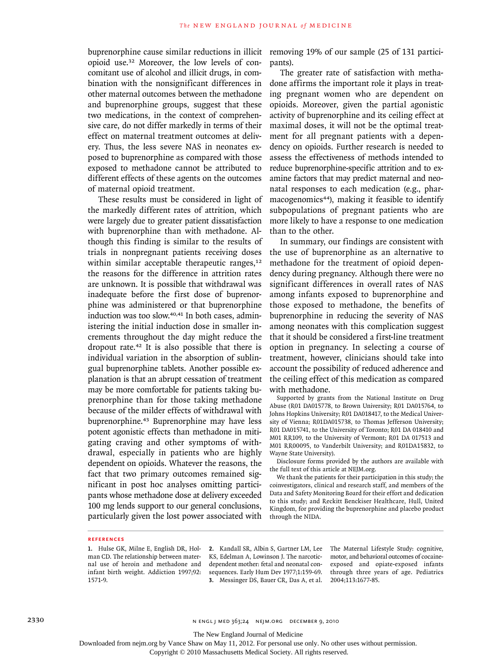buprenorphine cause similar reductions in illicit removing 19% of our sample (25 of 131 particiopioid use.32 Moreover, the low levels of concomitant use of alcohol and illicit drugs, in combination with the nonsignificant differences in other maternal outcomes between the methadone and buprenorphine groups, suggest that these two medications, in the context of comprehensive care, do not differ markedly in terms of their effect on maternal treatment outcomes at delivery. Thus, the less severe NAS in neonates exposed to buprenorphine as compared with those exposed to methadone cannot be attributed to different effects of these agents on the outcomes of maternal opioid treatment.

These results must be considered in light of the markedly different rates of attrition, which were largely due to greater patient dissatisfaction with buprenorphine than with methadone. Although this finding is similar to the results of trials in nonpregnant patients receiving doses within similar acceptable therapeutic ranges,<sup>12</sup> the reasons for the difference in attrition rates are unknown. It is possible that withdrawal was inadequate before the first dose of buprenorphine was administered or that buprenorphine induction was too slow.<sup>40,41</sup> In both cases, administering the initial induction dose in smaller increments throughout the day might reduce the dropout rate.42 It is also possible that there is individual variation in the absorption of sublingual buprenorphine tablets. Another possible explanation is that an abrupt cessation of treatment may be more comfortable for patients taking buprenorphine than for those taking methadone because of the milder effects of withdrawal with buprenorphine.43 Buprenorphine may have less potent agonistic effects than methadone in mitigating craving and other symptoms of withdrawal, especially in patients who are highly dependent on opioids. Whatever the reasons, the fact that two primary outcomes remained significant in post hoc analyses omitting participants whose methadone dose at delivery exceeded 100 mg lends support to our general conclusions, particularly given the lost power associated with pants).

The greater rate of satisfaction with methadone affirms the important role it plays in treating pregnant women who are dependent on opioids. Moreover, given the partial agonistic activity of buprenorphine and its ceiling effect at maximal doses, it will not be the optimal treatment for all pregnant patients with a dependency on opioids. Further research is needed to assess the effectiveness of methods intended to reduce buprenorphine-specific attrition and to examine factors that may predict maternal and neonatal responses to each medication (e.g., pharmacogenomics<sup>44</sup>), making it feasible to identify subpopulations of pregnant patients who are more likely to have a response to one medication than to the other.

In summary, our findings are consistent with the use of buprenorphine as an alternative to methadone for the treatment of opioid dependency during pregnancy. Although there were no significant differences in overall rates of NAS among infants exposed to buprenorphine and those exposed to methadone, the benefits of buprenorphine in reducing the severity of NAS among neonates with this complication suggest that it should be considered a first-line treatment option in pregnancy. In selecting a course of treatment, however, clinicians should take into account the possibility of reduced adherence and the ceiling effect of this medication as compared with methadone.

Supported by grants from the National Institute on Drug Abuse (R01 DA015778, to Brown University; R01 DA015764, to Johns Hopkins University; R01 DA018417, to the Medical University of Vienna; R01DA015738, to Thomas Jefferson University; R01 DA015741, to the University of Toronto; R01 DA 018410 and M01 RR109, to the University of Vermont; R01 DA 017513 and M01 RR00095, to Vanderbilt University; and R01DA15832, to Wayne State University).

Disclosure forms provided by the authors are available with the full text of this article at NEJM.org.

We thank the patients for their participation in this study; the coinvestigators, clinical and research staff, and members of the Data and Safety Monitoring Board for their effort and dedication to this study; and Reckitt Benckiser Healthcare, Hull, United Kingdom, for providing the buprenorphine and placebo product through the NIDA.

#### **References**

**1.** Hulse GK, Milne E, English DR, Holman CD. The relationship between maternal use of heroin and methadone and infant birth weight. Addiction 1997;92: 1571-9.

**2.** Kandall SR, Albin S, Gartner LM, Lee KS, Edelman A, Lowinson J. The narcoticdependent mother: fetal and neonatal consequences. Early Hum Dev 1977;1:159-69. **3.** Messinger DS, Bauer CR, Das A, et al. The Maternal Lifestyle Study: cognitive, motor, and behavioral outcomes of cocaineexposed and opiate-exposed infants through three years of age. Pediatrics 2004;113:1677-85.

2330 n engl j med 363;24 nejm.org december 9, 2010

The New England Journal of Medicine

Downloaded from nejm.org by Vance Shaw on May 11, 2012. For personal use only. No other uses without permission.